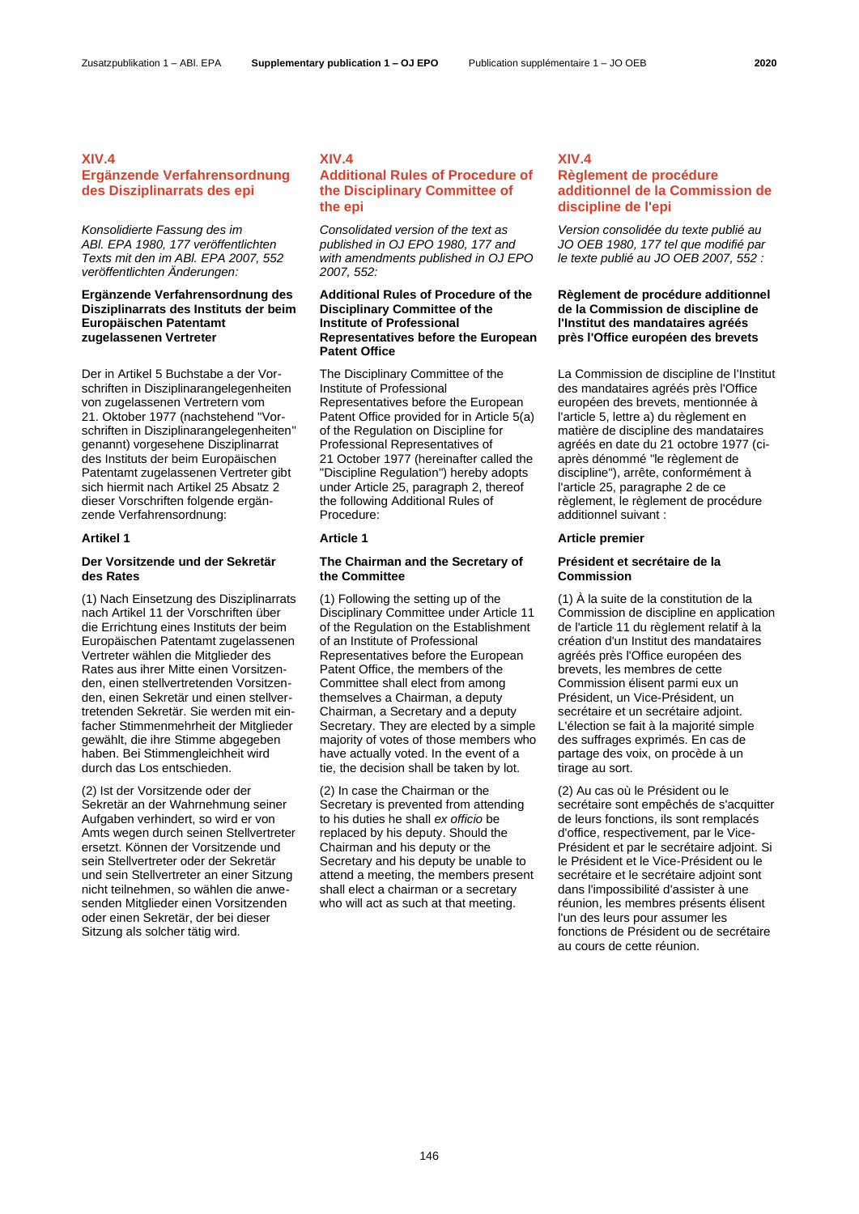### **XIV.4**

# **Ergänzende Verfahrensordnung des Disziplinarrats des epi**

*Konsolidierte Fassung des im ABl. EPA 1980, 177 veröffentlichten Texts mit den im ABl. EPA 2007, 552 veröffentlichten Änderungen:*

## **Ergänzende Verfahrensordnung des Disziplinarrats des Instituts der beim Europäischen Patentamt zugelassenen Vertreter**

Der in Artikel 5 Buchstabe a der Vorschriften in Disziplinarangelegenheiten von zugelassenen Vertretern vom 21. Oktober 1977 (nachstehend "Vorschriften in Disziplinarangelegenheiten" genannt) vorgesehene Disziplinarrat des Instituts der beim Europäischen Patentamt zugelassenen Vertreter gibt sich hiermit nach Artikel 25 Absatz 2 dieser Vorschriften folgende ergänzende Verfahrensordnung:

## **Der Vorsitzende und der Sekretär des Rates**

(1) Nach Einsetzung des Disziplinarrats nach Artikel 11 der Vorschriften über die Errichtung eines Instituts der beim Europäischen Patentamt zugelassenen Vertreter wählen die Mitglieder des Rates aus ihrer Mitte einen Vorsitzenden, einen stellvertretenden Vorsitzenden, einen Sekretär und einen stellvertretenden Sekretär. Sie werden mit einfacher Stimmenmehrheit der Mitglieder gewählt, die ihre Stimme abgegeben haben. Bei Stimmengleichheit wird durch das Los entschieden.

(2) Ist der Vorsitzende oder der Sekretär an der Wahrnehmung seiner Aufgaben verhindert, so wird er von Amts wegen durch seinen Stellvertreter ersetzt. Können der Vorsitzende und sein Stellvertreter oder der Sekretär und sein Stellvertreter an einer Sitzung nicht teilnehmen, so wählen die anwesenden Mitglieder einen Vorsitzenden oder einen Sekretär, der bei dieser Sitzung als solcher tätig wird.

## **XIV.4**

# **Additional Rules of Procedure of the Disciplinary Committee of the epi**

*Consolidated version of the text as published in OJ EPO 1980, 177 and with amendments published in OJ EPO 2007, 552:*

## **Additional Rules of Procedure of the Disciplinary Committee of the Institute of Professional Representatives before the European Patent Office**

The Disciplinary Committee of the Institute of Professional Representatives before the European Patent Office provided for in Article 5(a) of the Regulation on Discipline for Professional Representatives of 21 October 1977 (hereinafter called the "Discipline Regulation") hereby adopts under Article 25, paragraph 2, thereof the following Additional Rules of Procedure:

## **The Chairman and the Secretary of the Committee**

(1) Following the setting up of the Disciplinary Committee under Article 11 of the Regulation on the Establishment of an Institute of Professional Representatives before the European Patent Office, the members of the Committee shall elect from among themselves a Chairman, a deputy Chairman, a Secretary and a deputy Secretary. They are elected by a simple majority of votes of those members who have actually voted. In the event of a tie, the decision shall be taken by lot.

(2) In case the Chairman or the Secretary is prevented from attending to his duties he shall *ex officio* be replaced by his deputy. Should the Chairman and his deputy or the Secretary and his deputy be unable to attend a meeting, the members present shall elect a chairman or a secretary who will act as such at that meeting.

## **XIV.4 Règlement de procédure additionnel de la Commission de discipline de l'epi**

*Version consolidée du texte publié au JO OEB 1980, 177 tel que modifié par le texte publié au JO OEB 2007, 552 :*

## **Règlement de procédure additionnel de la Commission de discipline de l'Institut des mandataires agréés près l'Office européen des brevets**

La Commission de discipline de l'Institut des mandataires agréés près l'Office européen des brevets, mentionnée à l'article 5, lettre a) du règlement en matière de discipline des mandataires agréés en date du 21 octobre 1977 (ciaprès dénommé "le règlement de discipline"), arrête, conformément à l'article 25, paragraphe 2 de ce règlement, le règlement de procédure additionnel suivant :

### **Artikel 1 Article 1 Article premier**

### **Président et secrétaire de la Commission**

(1) À la suite de la constitution de la Commission de discipline en application de l'article 11 du règlement relatif à la création d'un Institut des mandataires agréés près l'Office européen des brevets, les membres de cette Commission élisent parmi eux un Président, un Vice-Président, un secrétaire et un secrétaire adjoint. L'élection se fait à la majorité simple des suffrages exprimés. En cas de partage des voix, on procède à un tirage au sort.

(2) Au cas où le Président ou le secrétaire sont empêchés de s'acquitter de leurs fonctions, ils sont remplacés d'office, respectivement, par le Vice-Président et par le secrétaire adjoint. Si le Président et le Vice-Président ou le secrétaire et le secrétaire adjoint sont dans l'impossibilité d'assister à une réunion, les membres présents élisent l'un des leurs pour assumer les fonctions de Président ou de secrétaire au cours de cette réunion.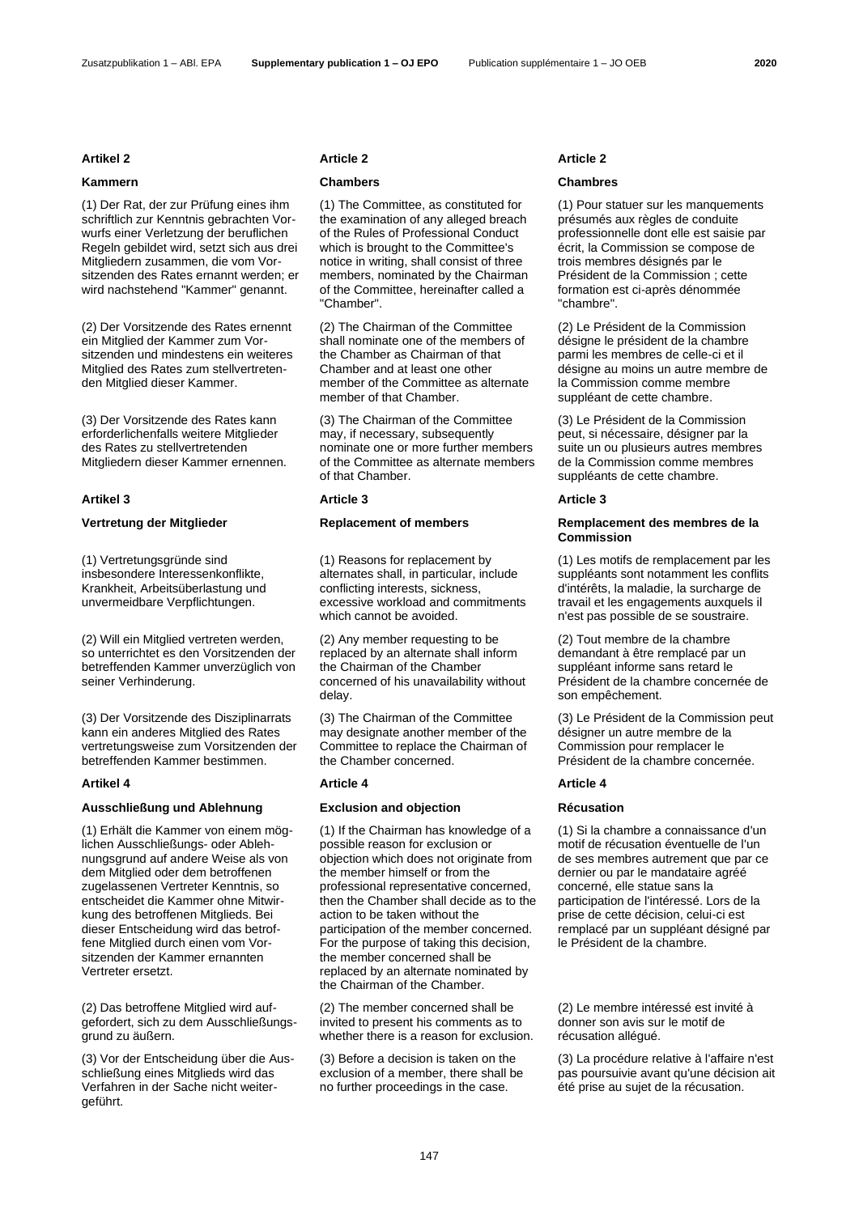(1) Der Rat, der zur Prüfung eines ihm schriftlich zur Kenntnis gebrachten Vorwurfs einer Verletzung der beruflichen Regeln gebildet wird, setzt sich aus drei Mitgliedern zusammen, die vom Vorsitzenden des Rates ernannt werden; er wird nachstehend "Kammer" genannt.

(2) Der Vorsitzende des Rates ernennt ein Mitglied der Kammer zum Vorsitzenden und mindestens ein weiteres Mitglied des Rates zum stellvertretenden Mitglied dieser Kammer.

(3) Der Vorsitzende des Rates kann erforderlichenfalls weitere Mitglieder des Rates zu stellvertretenden Mitgliedern dieser Kammer ernennen.

### **Artikel 3 Article 3 Article 3**

(1) Vertretungsgründe sind insbesondere Interessenkonflikte, Krankheit, Arbeitsüberlastung und unvermeidbare Verpflichtungen.

(2) Will ein Mitglied vertreten werden, so unterrichtet es den Vorsitzenden der betreffenden Kammer unverzüglich von seiner Verhinderung.

(3) Der Vorsitzende des Disziplinarrats kann ein anderes Mitglied des Rates vertretungsweise zum Vorsitzenden der betreffenden Kammer bestimmen.

### **Artikel 4 Article 4 Article 4**

### **Ausschließung und Ablehnung Exclusion and objection Récusation**

(1) Erhält die Kammer von einem möglichen Ausschließungs- oder Ablehnungsgrund auf andere Weise als von dem Mitglied oder dem betroffenen zugelassenen Vertreter Kenntnis, so entscheidet die Kammer ohne Mitwirkung des betroffenen Mitglieds. Bei dieser Entscheidung wird das betroffene Mitglied durch einen vom Vorsitzenden der Kammer ernannten Vertreter ersetzt.

(2) Das betroffene Mitglied wird aufgefordert, sich zu dem Ausschließungsgrund zu äußern.

(3) Vor der Entscheidung über die Ausschließung eines Mitglieds wird das Verfahren in der Sache nicht weitergeführt.

### **Artikel 2 Article 2 Article 2**

(1) The Committee, as constituted for the examination of any alleged breach of the Rules of Professional Conduct which is brought to the Committee's notice in writing, shall consist of three members, nominated by the Chairman of the Committee, hereinafter called a "Chamber".

(2) The Chairman of the Committee shall nominate one of the members of the Chamber as Chairman of that Chamber and at least one other member of the Committee as alternate member of that Chamber.

(3) The Chairman of the Committee may, if necessary, subsequently nominate one or more further members of the Committee as alternate members of that Chamber.

(1) Reasons for replacement by alternates shall, in particular, include conflicting interests, sickness, excessive workload and commitments which cannot be avoided.

(2) Any member requesting to be replaced by an alternate shall inform the Chairman of the Chamber concerned of his unavailability without delay.

(3) The Chairman of the Committee may designate another member of the Committee to replace the Chairman of the Chamber concerned.

(1) If the Chairman has knowledge of a possible reason for exclusion or objection which does not originate from the member himself or from the professional representative concerned, then the Chamber shall decide as to the action to be taken without the participation of the member concerned. For the purpose of taking this decision, the member concerned shall be replaced by an alternate nominated by the Chairman of the Chamber.

(2) The member concerned shall be invited to present his comments as to whether there is a reason for exclusion.

(3) Before a decision is taken on the exclusion of a member, there shall be no further proceedings in the case.

### **Kammern Chambers Chambres**

(1) Pour statuer sur les manquements présumés aux règles de conduite professionnelle dont elle est saisie par écrit, la Commission se compose de trois membres désignés par le Président de la Commission ; cette formation est ci-après dénommée "chambre".

(2) Le Président de la Commission désigne le président de la chambre parmi les membres de celle-ci et il désigne au moins un autre membre de la Commission comme membre suppléant de cette chambre.

(3) Le Président de la Commission peut, si nécessaire, désigner par la suite un ou plusieurs autres membres de la Commission comme membres suppléants de cette chambre.

## **Vertretung der Mitglieder Replacement of members Remplacement des membres de la Commission**

(1) Les motifs de remplacement par les suppléants sont notamment les conflits d'intérêts, la maladie, la surcharge de travail et les engagements auxquels il n'est pas possible de se soustraire.

(2) Tout membre de la chambre demandant à être remplacé par un suppléant informe sans retard le Président de la chambre concernée de son empêchement.

(3) Le Président de la Commission peut désigner un autre membre de la Commission pour remplacer le Président de la chambre concernée.

(1) Si la chambre a connaissance d'un motif de récusation éventuelle de l'un de ses membres autrement que par ce dernier ou par le mandataire agréé concerné, elle statue sans la participation de l'intéressé. Lors de la prise de cette décision, celui-ci est remplacé par un suppléant désigné par le Président de la chambre.

(2) Le membre intéressé est invité à donner son avis sur le motif de récusation allégué.

(3) La procédure relative à l'affaire n'est pas poursuivie avant qu'une décision ait été prise au sujet de la récusation.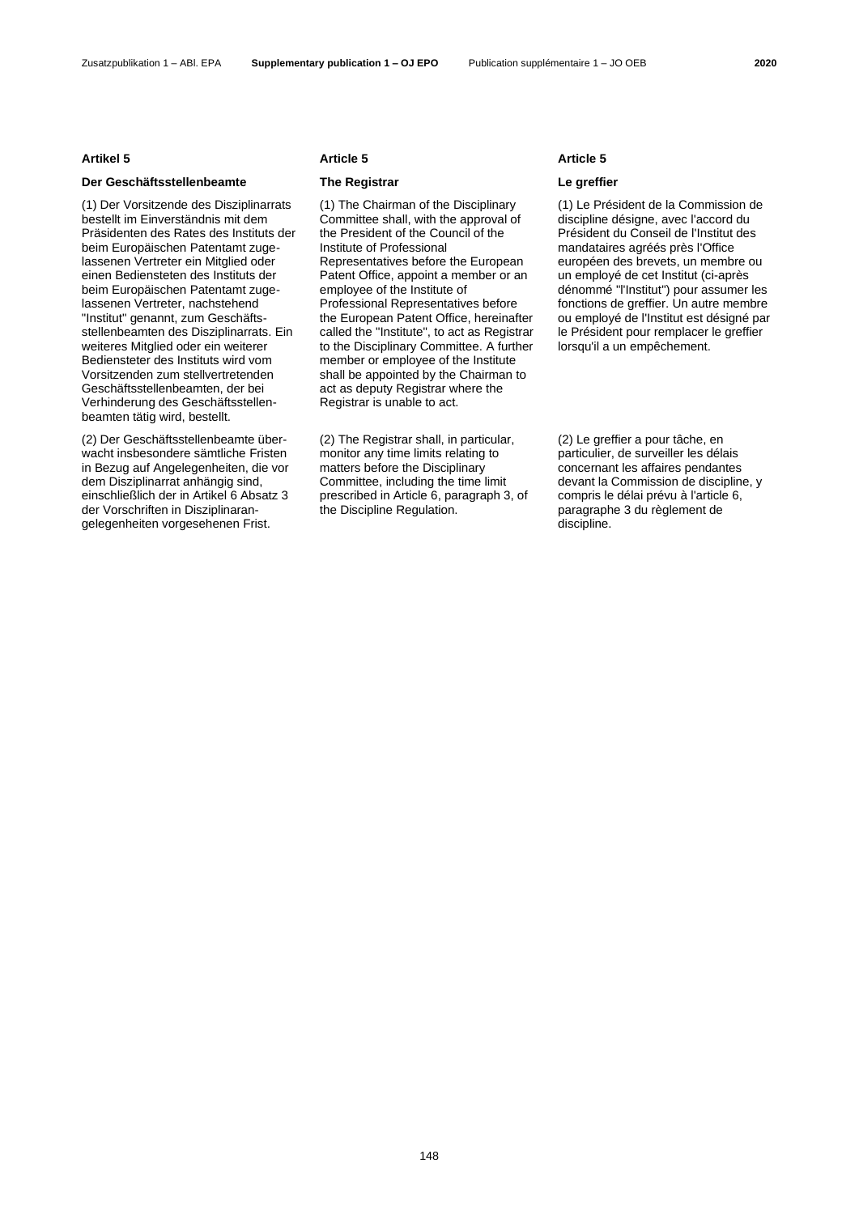### Zusatzpublikation 1 – ABl. EPA **Supplementary publication 1 – OJ EPO** Publication supplémentaire 1 – JO OEB **2020**

### **Der Geschäftsstellenbeamte The Registrar Le greffier**

(1) Der Vorsitzende des Disziplinarrats bestellt im Einverständnis mit dem Präsidenten des Rates des Instituts der beim Europäischen Patentamt zugelassenen Vertreter ein Mitglied oder einen Bediensteten des Instituts der beim Europäischen Patentamt zugelassenen Vertreter, nachstehend "Institut" genannt, zum Geschäftsstellenbeamten des Disziplinarrats. Ein weiteres Mitglied oder ein weiterer Bediensteter des Instituts wird vom Vorsitzenden zum stellvertretenden Geschäftsstellenbeamten, der bei Verhinderung des Geschäftsstellenbeamten tätig wird, bestellt.

(2) Der Geschäftsstellenbeamte überwacht insbesondere sämtliche Fristen in Bezug auf Angelegenheiten, die vor dem Disziplinarrat anhängig sind, einschließlich der in Artikel 6 Absatz 3 der Vorschriften in Disziplinarangelegenheiten vorgesehenen Frist.

### **Artikel 5 Article 5 Article 5**

(1) The Chairman of the Disciplinary Committee shall, with the approval of the President of the Council of the Institute of Professional Representatives before the European Patent Office, appoint a member or an employee of the Institute of Professional Representatives before the European Patent Office, hereinafter called the "Institute", to act as Registrar to the Disciplinary Committee. A further member or employee of the Institute shall be appointed by the Chairman to act as deputy Registrar where the Registrar is unable to act.

(2) The Registrar shall, in particular, monitor any time limits relating to matters before the Disciplinary Committee, including the time limit prescribed in Article 6, paragraph 3, of the Discipline Regulation.

(1) Le Président de la Commission de discipline désigne, avec l'accord du Président du Conseil de l'Institut des mandataires agréés près l'Office européen des brevets, un membre ou un employé de cet Institut (ci-après dénommé "l'Institut") pour assumer les fonctions de greffier. Un autre membre ou employé de l'Institut est désigné par le Président pour remplacer le greffier lorsqu'il a un empêchement.

(2) Le greffier a pour tâche, en particulier, de surveiller les délais concernant les affaires pendantes devant la Commission de discipline, y compris le délai prévu à l'article 6, paragraphe 3 du règlement de discipline.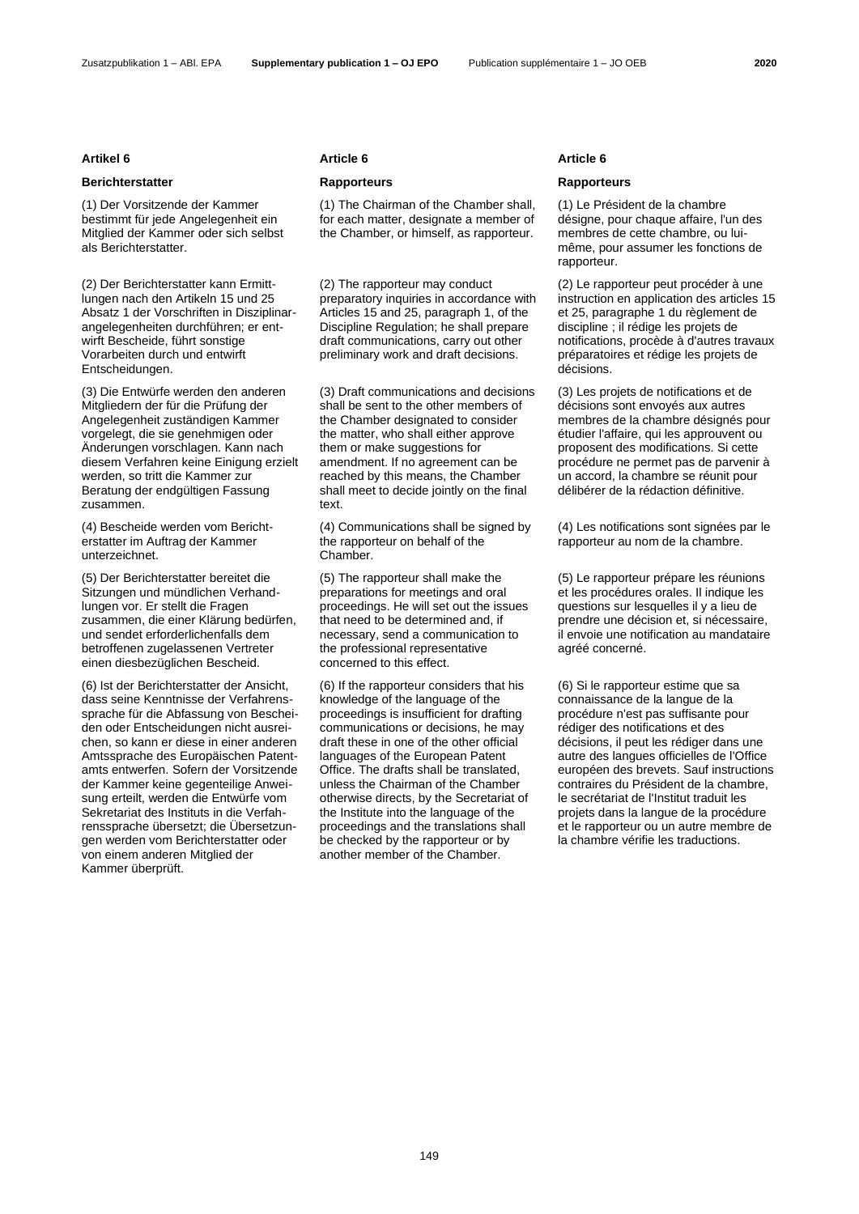## **Berichterstatter Rapporteurs Rapporteurs**

(1) Der Vorsitzende der Kammer bestimmt für jede Angelegenheit ein Mitglied der Kammer oder sich selbst als Berichterstatter.

(2) Der Berichterstatter kann Ermittlungen nach den Artikeln 15 und 25 Absatz 1 der Vorschriften in Disziplinarangelegenheiten durchführen; er entwirft Bescheide, führt sonstige Vorarbeiten durch und entwirft Entscheidungen.

(3) Die Entwürfe werden den anderen Mitgliedern der für die Prüfung der Angelegenheit zuständigen Kammer vorgelegt, die sie genehmigen oder Änderungen vorschlagen. Kann nach diesem Verfahren keine Einigung erzielt werden, so tritt die Kammer zur Beratung der endgültigen Fassung zusammen.

(4) Bescheide werden vom Berichterstatter im Auftrag der Kammer unterzeichnet.

(5) Der Berichterstatter bereitet die Sitzungen und mündlichen Verhandlungen vor. Er stellt die Fragen zusammen, die einer Klärung bedürfen, und sendet erforderlichenfalls dem betroffenen zugelassenen Vertreter einen diesbezüglichen Bescheid.

(6) Ist der Berichterstatter der Ansicht, dass seine Kenntnisse der Verfahrenssprache für die Abfassung von Bescheiden oder Entscheidungen nicht ausreichen, so kann er diese in einer anderen Amtssprache des Europäischen Patentamts entwerfen. Sofern der Vorsitzende der Kammer keine gegenteilige Anweisung erteilt, werden die Entwürfe vom Sekretariat des Instituts in die Verfahrenssprache übersetzt; die Übersetzungen werden vom Berichterstatter oder von einem anderen Mitglied der Kammer überprüft.

(1) The Chairman of the Chamber shall, for each matter, designate a member of the Chamber, or himself, as rapporteur.

(2) The rapporteur may conduct preparatory inquiries in accordance with Articles 15 and 25, paragraph 1, of the Discipline Regulation; he shall prepare draft communications, carry out other preliminary work and draft decisions.

(3) Draft communications and decisions shall be sent to the other members of the Chamber designated to consider the matter, who shall either approve them or make suggestions for amendment. If no agreement can be reached by this means, the Chamber shall meet to decide jointly on the final text.

(4) Communications shall be signed by the rapporteur on behalf of the Chamber.

(5) The rapporteur shall make the preparations for meetings and oral proceedings. He will set out the issues that need to be determined and, if necessary, send a communication to the professional representative concerned to this effect.

(6) If the rapporteur considers that his knowledge of the language of the proceedings is insufficient for drafting communications or decisions, he may draft these in one of the other official languages of the European Patent Office. The drafts shall be translated, unless the Chairman of the Chamber otherwise directs, by the Secretariat of the Institute into the language of the proceedings and the translations shall be checked by the rapporteur or by another member of the Chamber.

### **Artikel 6 Article 6 Article 6**

(1) Le Président de la chambre désigne, pour chaque affaire, l'un des membres de cette chambre, ou luimême, pour assumer les fonctions de rapporteur.

(2) Le rapporteur peut procéder à une instruction en application des articles 15 et 25, paragraphe 1 du règlement de discipline ; il rédige les projets de notifications, procède à d'autres travaux préparatoires et rédige les projets de décisions.

(3) Les projets de notifications et de décisions sont envoyés aux autres membres de la chambre désignés pour étudier l'affaire, qui les approuvent ou proposent des modifications. Si cette procédure ne permet pas de parvenir à un accord, la chambre se réunit pour délibérer de la rédaction définitive.

(4) Les notifications sont signées par le rapporteur au nom de la chambre.

(5) Le rapporteur prépare les réunions et les procédures orales. Il indique les questions sur lesquelles il y a lieu de prendre une décision et, si nécessaire, il envoie une notification au mandataire agréé concerné.

(6) Si le rapporteur estime que sa connaissance de la langue de la procédure n'est pas suffisante pour rédiger des notifications et des décisions, il peut les rédiger dans une autre des langues officielles de l'Office européen des brevets. Sauf instructions contraires du Président de la chambre, le secrétariat de l'Institut traduit les projets dans la langue de la procédure et le rapporteur ou un autre membre de la chambre vérifie les traductions.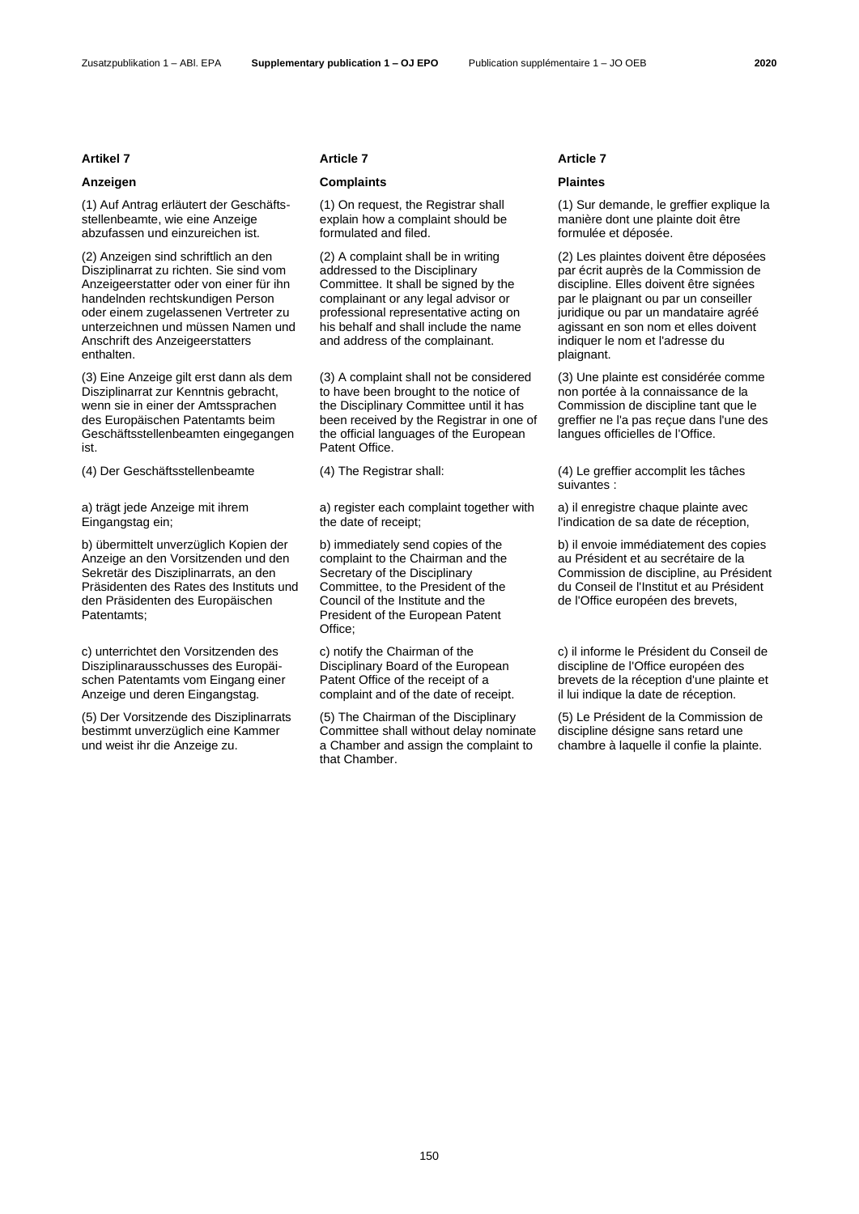(1) Auf Antrag erläutert der Geschäftsstellenbeamte, wie eine Anzeige abzufassen und einzureichen ist.

(2) Anzeigen sind schriftlich an den Disziplinarrat zu richten. Sie sind vom Anzeigeerstatter oder von einer für ihn handelnden rechtskundigen Person oder einem zugelassenen Vertreter zu unterzeichnen und müssen Namen und Anschrift des Anzeigeerstatters enthalten.

(3) Eine Anzeige gilt erst dann als dem Disziplinarrat zur Kenntnis gebracht, wenn sie in einer der Amtssprachen des Europäischen Patentamts beim Geschäftsstellenbeamten eingegangen ist.

a) trägt jede Anzeige mit ihrem Eingangstag ein;

b) übermittelt unverzüglich Kopien der Anzeige an den Vorsitzenden und den Sekretär des Disziplinarrats, an den Präsidenten des Rates des Instituts und den Präsidenten des Europäischen Patentamts;

c) unterrichtet den Vorsitzenden des Disziplinarausschusses des Europäischen Patentamts vom Eingang einer Anzeige und deren Eingangstag.

(5) Der Vorsitzende des Disziplinarrats bestimmt unverzüglich eine Kammer und weist ihr die Anzeige zu.

### **Artikel 7 Article 7 Article 7**

## **Anzeigen Complaints Plaintes**

(1) On request, the Registrar shall explain how a complaint should be formulated and filed.

(2) A complaint shall be in writing addressed to the Disciplinary Committee. It shall be signed by the complainant or any legal advisor or professional representative acting on his behalf and shall include the name and address of the complainant.

(3) A complaint shall not be considered to have been brought to the notice of the Disciplinary Committee until it has been received by the Registrar in one of the official languages of the European Patent Office.

a) register each complaint together with the date of receipt;

b) immediately send copies of the complaint to the Chairman and the Secretary of the Disciplinary Committee, to the President of the Council of the Institute and the President of the European Patent Office:

c) notify the Chairman of the Disciplinary Board of the European Patent Office of the receipt of a complaint and of the date of receipt.

(5) The Chairman of the Disciplinary Committee shall without delay nominate a Chamber and assign the complaint to that Chamber.

(1) Sur demande, le greffier explique la manière dont une plainte doit être formulée et déposée.

(2) Les plaintes doivent être déposées par écrit auprès de la Commission de discipline. Elles doivent être signées par le plaignant ou par un conseiller juridique ou par un mandataire agréé agissant en son nom et elles doivent indiquer le nom et l'adresse du plaignant.

(3) Une plainte est considérée comme non portée à la connaissance de la Commission de discipline tant que le greffier ne l'a pas reçue dans l'une des langues officielles de l'Office.

(4) Der Geschäftsstellenbeamte (4) The Registrar shall: (4) Le greffier accomplit les tâches suivantes :

> a) il enregistre chaque plainte avec l'indication de sa date de réception,

b) il envoie immédiatement des copies au Président et au secrétaire de la Commission de discipline, au Président du Conseil de l'Institut et au Président de l'Office européen des brevets,

c) il informe le Président du Conseil de discipline de l'Office européen des brevets de la réception d'une plainte et il lui indique la date de réception.

(5) Le Président de la Commission de discipline désigne sans retard une chambre à laquelle il confie la plainte.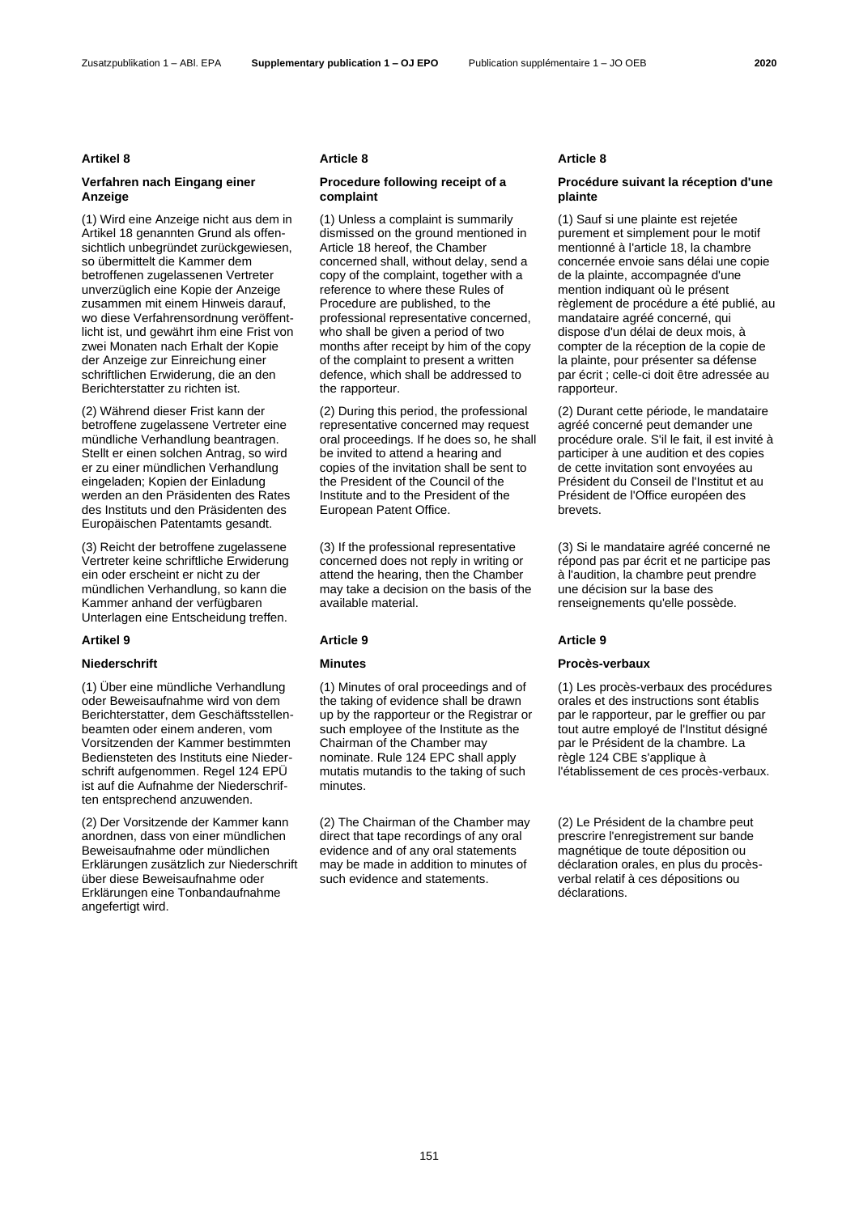### Zusatzpublikation 1 – ABl. EPA **Supplementary publication 1 – OJ EPO** Publication supplémentaire 1 – JO OEB **2020**

## **Verfahren nach Eingang einer Anzeige**

(1) Wird eine Anzeige nicht aus dem in Artikel 18 genannten Grund als offensichtlich unbegründet zurückgewiesen. so übermittelt die Kammer dem betroffenen zugelassenen Vertreter unverzüglich eine Kopie der Anzeige zusammen mit einem Hinweis darauf, wo diese Verfahrensordnung veröffentlicht ist, und gewährt ihm eine Frist von zwei Monaten nach Erhalt der Kopie der Anzeige zur Einreichung einer schriftlichen Erwiderung, die an den Berichterstatter zu richten ist.

(2) Während dieser Frist kann der betroffene zugelassene Vertreter eine mündliche Verhandlung beantragen. Stellt er einen solchen Antrag, so wird er zu einer mündlichen Verhandlung eingeladen; Kopien der Einladung werden an den Präsidenten des Rates des Instituts und den Präsidenten des Europäischen Patentamts gesandt.

(3) Reicht der betroffene zugelassene Vertreter keine schriftliche Erwiderung ein oder erscheint er nicht zu der mündlichen Verhandlung, so kann die Kammer anhand der verfügbaren Unterlagen eine Entscheidung treffen.

(1) Über eine mündliche Verhandlung oder Beweisaufnahme wird von dem Berichterstatter, dem Geschäftsstellenbeamten oder einem anderen, vom Vorsitzenden der Kammer bestimmten Bediensteten des Instituts eine Niederschrift aufgenommen. Regel 124 EPÜ ist auf die Aufnahme der Niederschriften entsprechend anzuwenden.

(2) Der Vorsitzende der Kammer kann anordnen, dass von einer mündlichen Beweisaufnahme oder mündlichen Erklärungen zusätzlich zur Niederschrift über diese Beweisaufnahme oder Erklärungen eine Tonbandaufnahme angefertigt wird.

### **Artikel 8 Article 8 Article 8**

## **Procedure following receipt of a complaint**

(1) Unless a complaint is summarily dismissed on the ground mentioned in Article 18 hereof, the Chamber concerned shall, without delay, send a copy of the complaint, together with a reference to where these Rules of Procedure are published, to the professional representative concerned, who shall be given a period of two months after receipt by him of the copy of the complaint to present a written defence, which shall be addressed to the rapporteur.

(2) During this period, the professional representative concerned may request oral proceedings. If he does so, he shall be invited to attend a hearing and copies of the invitation shall be sent to the President of the Council of the Institute and to the President of the European Patent Office.

(3) If the professional representative concerned does not reply in writing or attend the hearing, then the Chamber may take a decision on the basis of the available material.

### **Artikel 9 Article 9 Article 9**

(1) Minutes of oral proceedings and of the taking of evidence shall be drawn up by the rapporteur or the Registrar or such employee of the Institute as the Chairman of the Chamber may nominate. Rule 124 EPC shall apply mutatis mutandis to the taking of such minutes.

(2) The Chairman of the Chamber may direct that tape recordings of any oral evidence and of any oral statements may be made in addition to minutes of such evidence and statements.

## **Procédure suivant la réception d'une plainte**

(1) Sauf si une plainte est rejetée purement et simplement pour le motif mentionné à l'article 18, la chambre concernée envoie sans délai une copie de la plainte, accompagnée d'une mention indiquant où le présent règlement de procédure a été publié, au mandataire agréé concerné, qui dispose d'un délai de deux mois, à compter de la réception de la copie de la plainte, pour présenter sa défense par écrit ; celle-ci doit être adressée au rapporteur.

(2) Durant cette période, le mandataire agréé concerné peut demander une procédure orale. S'il le fait, il est invité à participer à une audition et des copies de cette invitation sont envoyées au Président du Conseil de l'Institut et au Président de l'Office européen des brevets.

(3) Si le mandataire agréé concerné ne répond pas par écrit et ne participe pas à l'audition, la chambre peut prendre une décision sur la base des renseignements qu'elle possède.

### **Niederschrift Minutes Procès-verbaux**

(1) Les procès-verbaux des procédures orales et des instructions sont établis par le rapporteur, par le greffier ou par tout autre employé de l'Institut désigné par le Président de la chambre. La règle 124 CBE s'applique à l'établissement de ces procès-verbaux.

(2) Le Président de la chambre peut prescrire l'enregistrement sur bande magnétique de toute déposition ou déclaration orales, en plus du procèsverbal relatif à ces dépositions ou déclarations.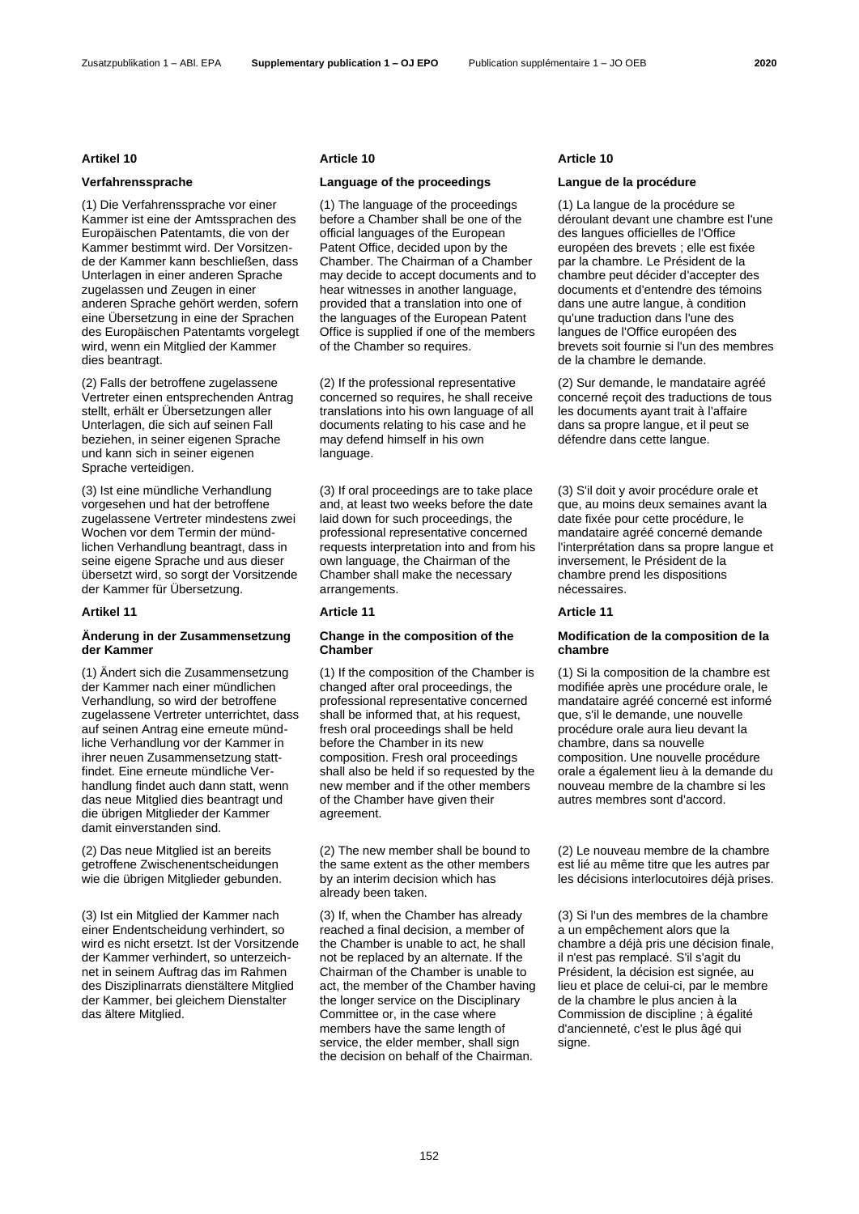### Zusatzpublikation 1 – ABl. EPA **Supplementary publication 1 – OJ EPO** Publication supplémentaire 1 – JO OEB **2020**

(1) Die Verfahrenssprache vor einer Kammer ist eine der Amtssprachen des Europäischen Patentamts, die von der Kammer bestimmt wird. Der Vorsitzende der Kammer kann beschließen, dass Unterlagen in einer anderen Sprache zugelassen und Zeugen in einer anderen Sprache gehört werden, sofern eine Übersetzung in eine der Sprachen des Europäischen Patentamts vorgelegt wird, wenn ein Mitglied der Kammer dies beantragt.

(2) Falls der betroffene zugelassene Vertreter einen entsprechenden Antrag stellt, erhält er Übersetzungen aller Unterlagen, die sich auf seinen Fall beziehen, in seiner eigenen Sprache und kann sich in seiner eigenen Sprache verteidigen.

(3) Ist eine mündliche Verhandlung vorgesehen und hat der betroffene zugelassene Vertreter mindestens zwei Wochen vor dem Termin der mündlichen Verhandlung beantragt, dass in seine eigene Sprache und aus dieser übersetzt wird, so sorgt der Vorsitzende der Kammer für Übersetzung.

### **Artikel 11 Article 11 Article 11**

## **Änderung in der Zusammensetzung der Kammer**

(1) Ändert sich die Zusammensetzung der Kammer nach einer mündlichen Verhandlung, so wird der betroffene zugelassene Vertreter unterrichtet, dass auf seinen Antrag eine erneute mündliche Verhandlung vor der Kammer in ihrer neuen Zusammensetzung stattfindet. Eine erneute mündliche Verhandlung findet auch dann statt, wenn das neue Mitglied dies beantragt und die übrigen Mitglieder der Kammer damit einverstanden sind.

(2) Das neue Mitglied ist an bereits getroffene Zwischenentscheidungen wie die übrigen Mitglieder gebunden.

(3) Ist ein Mitglied der Kammer nach einer Endentscheidung verhindert, so wird es nicht ersetzt. Ist der Vorsitzende der Kammer verhindert, so unterzeichnet in seinem Auftrag das im Rahmen des Disziplinarrats dienstältere Mitglied der Kammer, bei gleichem Dienstalter das ältere Mitglied.

### **Artikel 10 Article 10 Article 10**

## **Verfahrenssprache Language of the proceedings Langue de la procédure**

(1) The language of the proceedings before a Chamber shall be one of the official languages of the European Patent Office, decided upon by the Chamber. The Chairman of a Chamber may decide to accept documents and to hear witnesses in another language, provided that a translation into one of the languages of the European Patent Office is supplied if one of the members of the Chamber so requires.

(2) If the professional representative concerned so requires, he shall receive translations into his own language of all documents relating to his case and he may defend himself in his own language.

(3) If oral proceedings are to take place and, at least two weeks before the date laid down for such proceedings, the professional representative concerned requests interpretation into and from his own language, the Chairman of the Chamber shall make the necessary arrangements.

### **Change in the composition of the Chamber**

(1) If the composition of the Chamber is changed after oral proceedings, the professional representative concerned shall be informed that, at his request, fresh oral proceedings shall be held before the Chamber in its new composition. Fresh oral proceedings shall also be held if so requested by the new member and if the other members of the Chamber have given their agreement.

(2) The new member shall be bound to the same extent as the other members by an interim decision which has already been taken.

(3) If, when the Chamber has already reached a final decision, a member of the Chamber is unable to act, he shall not be replaced by an alternate. If the Chairman of the Chamber is unable to act, the member of the Chamber having the longer service on the Disciplinary Committee or, in the case where members have the same length of service, the elder member, shall sign the decision on behalf of the Chairman.

(1) La langue de la procédure se déroulant devant une chambre est l'une des langues officielles de l'Office européen des brevets ; elle est fixée par la chambre. Le Président de la chambre peut décider d'accepter des documents et d'entendre des témoins dans une autre langue, à condition qu'une traduction dans l'une des langues de l'Office européen des brevets soit fournie si l'un des membres de la chambre le demande.

(2) Sur demande, le mandataire agréé concerné reçoit des traductions de tous les documents ayant trait à l'affaire dans sa propre langue, et il peut se défendre dans cette langue.

(3) S'il doit y avoir procédure orale et que, au moins deux semaines avant la date fixée pour cette procédure, le mandataire agréé concerné demande l'interprétation dans sa propre langue et inversement, le Président de la chambre prend les dispositions nécessaires.

### **Modification de la composition de la chambre**

(1) Si la composition de la chambre est modifiée après une procédure orale, le mandataire agréé concerné est informé que, s'il le demande, une nouvelle procédure orale aura lieu devant la chambre, dans sa nouvelle composition. Une nouvelle procédure orale a également lieu à la demande du nouveau membre de la chambre si les autres membres sont d'accord.

(2) Le nouveau membre de la chambre est lié au même titre que les autres par les décisions interlocutoires déjà prises.

(3) Si l'un des membres de la chambre a un empêchement alors que la chambre a déjà pris une décision finale, il n'est pas remplacé. S'il s'agit du Président, la décision est signée, au lieu et place de celui-ci, par le membre de la chambre le plus ancien à la Commission de discipline ; à égalité d'ancienneté, c'est le plus âgé qui signe.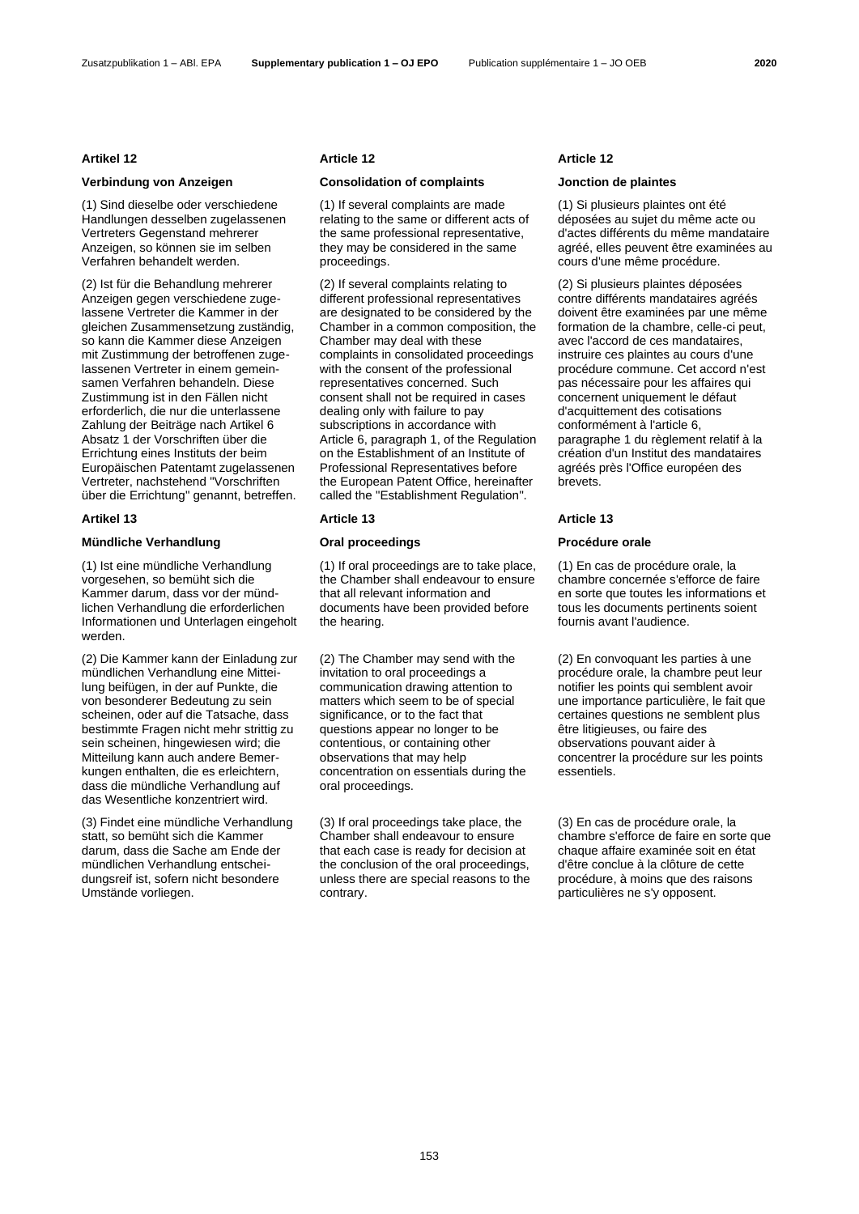## **Verbindung von Anzeigen Consolidation of complaints Jonction de plaintes**

(1) Sind dieselbe oder verschiedene Handlungen desselben zugelassenen Vertreters Gegenstand mehrerer Anzeigen, so können sie im selben Verfahren behandelt werden.

(2) Ist für die Behandlung mehrerer Anzeigen gegen verschiedene zugelassene Vertreter die Kammer in der gleichen Zusammensetzung zuständig, so kann die Kammer diese Anzeigen mit Zustimmung der betroffenen zugelassenen Vertreter in einem gemeinsamen Verfahren behandeln. Diese Zustimmung ist in den Fällen nicht erforderlich, die nur die unterlassene Zahlung der Beiträge nach Artikel 6 Absatz 1 der Vorschriften über die Errichtung eines Instituts der beim Europäischen Patentamt zugelassenen Vertreter, nachstehend "Vorschriften über die Errichtung" genannt, betreffen.

## **Artikel 13 Article 13 Article 13**

## **Mündliche Verhandlung Oral proceedings Procédure orale**

(1) Ist eine mündliche Verhandlung vorgesehen, so bemüht sich die Kammer darum, dass vor der mündlichen Verhandlung die erforderlichen Informationen und Unterlagen eingeholt werden.

(2) Die Kammer kann der Einladung zur mündlichen Verhandlung eine Mitteilung beifügen, in der auf Punkte, die von besonderer Bedeutung zu sein scheinen, oder auf die Tatsache, dass bestimmte Fragen nicht mehr strittig zu sein scheinen, hingewiesen wird; die Mitteilung kann auch andere Bemerkungen enthalten, die es erleichtern, dass die mündliche Verhandlung auf das Wesentliche konzentriert wird.

(3) Findet eine mündliche Verhandlung statt, so bemüht sich die Kammer darum, dass die Sache am Ende der mündlichen Verhandlung entscheidungsreif ist, sofern nicht besondere Umstände vorliegen.

### **Artikel 12 Article 12 Article 12**

(1) If several complaints are made relating to the same or different acts of the same professional representative, they may be considered in the same proceedings.

(2) If several complaints relating to different professional representatives are designated to be considered by the Chamber in a common composition, the Chamber may deal with these complaints in consolidated proceedings with the consent of the professional representatives concerned. Such consent shall not be required in cases dealing only with failure to pay subscriptions in accordance with Article 6, paragraph 1, of the Regulation on the Establishment of an Institute of Professional Representatives before the European Patent Office, hereinafter called the "Establishment Regulation".

(1) If oral proceedings are to take place, the Chamber shall endeavour to ensure that all relevant information and documents have been provided before the hearing.

(2) The Chamber may send with the invitation to oral proceedings a communication drawing attention to matters which seem to be of special significance, or to the fact that questions appear no longer to be contentious, or containing other observations that may help concentration on essentials during the oral proceedings.

(3) If oral proceedings take place, the Chamber shall endeavour to ensure that each case is ready for decision at the conclusion of the oral proceedings, unless there are special reasons to the contrary.

(1) Si plusieurs plaintes ont été déposées au sujet du même acte ou d'actes différents du même mandataire agréé, elles peuvent être examinées au cours d'une même procédure.

(2) Si plusieurs plaintes déposées contre différents mandataires agréés doivent être examinées par une même formation de la chambre, celle-ci peut, avec l'accord de ces mandataires, instruire ces plaintes au cours d'une procédure commune. Cet accord n'est pas nécessaire pour les affaires qui concernent uniquement le défaut d'acquittement des cotisations conformément à l'article 6, paragraphe 1 du règlement relatif à la création d'un Institut des mandataires agréés près l'Office européen des brevets.

(1) En cas de procédure orale, la chambre concernée s'efforce de faire en sorte que toutes les informations et tous les documents pertinents soient fournis avant l'audience.

(2) En convoquant les parties à une procédure orale, la chambre peut leur notifier les points qui semblent avoir une importance particulière, le fait que certaines questions ne semblent plus être litigieuses, ou faire des observations pouvant aider à concentrer la procédure sur les points essentiels.

(3) En cas de procédure orale, la chambre s'efforce de faire en sorte que chaque affaire examinée soit en état d'être conclue à la clôture de cette procédure, à moins que des raisons particulières ne s'y opposent.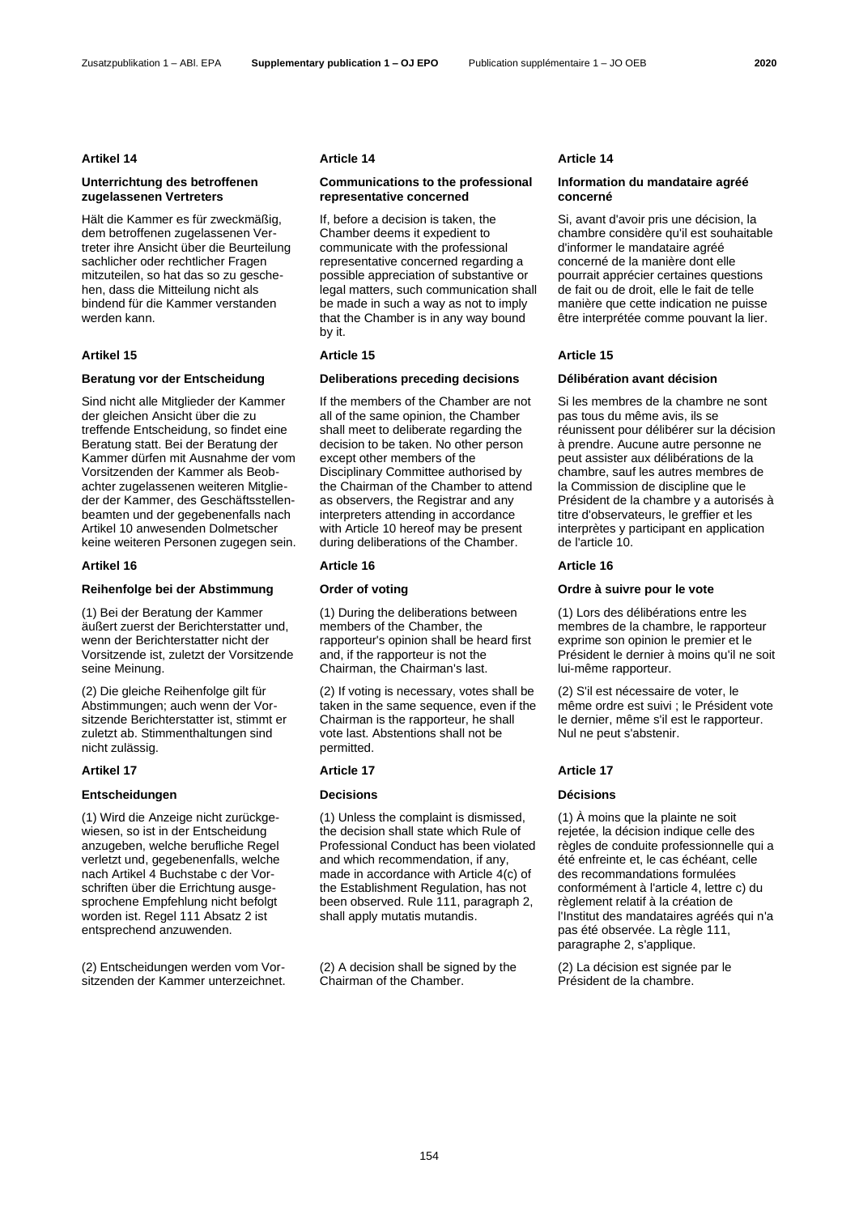### **Artikel 14 Article 14 Article 14**

## **Unterrichtung des betroffenen zugelassenen Vertreters**

Hält die Kammer es für zweckmäßig, dem betroffenen zugelassenen Vertreter ihre Ansicht über die Beurteilung sachlicher oder rechtlicher Fragen mitzuteilen, so hat das so zu geschehen, dass die Mitteilung nicht als bindend für die Kammer verstanden werden kann.

Sind nicht alle Mitglieder der Kammer der gleichen Ansicht über die zu treffende Entscheidung, so findet eine Beratung statt. Bei der Beratung der Kammer dürfen mit Ausnahme der vom Vorsitzenden der Kammer als Beobachter zugelassenen weiteren Mitglieder der Kammer, des Geschäftsstellenbeamten und der gegebenenfalls nach Artikel 10 anwesenden Dolmetscher keine weiteren Personen zugegen sein.

## **Reihenfolge bei der Abstimmung Order of voting Ordre à suivre pour le vote**

(1) Bei der Beratung der Kammer äußert zuerst der Berichterstatter und, wenn der Berichterstatter nicht der Vorsitzende ist, zuletzt der Vorsitzende seine Meinung.

(2) Die gleiche Reihenfolge gilt für Abstimmungen; auch wenn der Vorsitzende Berichterstatter ist, stimmt er zuletzt ab. Stimmenthaltungen sind nicht zulässig.

### **Artikel 17 Article 17 Article 17**

## **Entscheidungen Decisions Décisions**

(1) Wird die Anzeige nicht zurückgewiesen, so ist in der Entscheidung anzugeben, welche berufliche Regel verletzt und, gegebenenfalls, welche nach Artikel 4 Buchstabe c der Vorschriften über die Errichtung ausgesprochene Empfehlung nicht befolgt worden ist. Regel 111 Absatz 2 ist entsprechend anzuwenden.

(2) Entscheidungen werden vom Vorsitzenden der Kammer unterzeichnet.

## **Communications to the professional representative concerned**

If, before a decision is taken, the Chamber deems it expedient to communicate with the professional representative concerned regarding a possible appreciation of substantive or legal matters, such communication shall be made in such a way as not to imply that the Chamber is in any way bound by it.

### **Artikel 15 Article 15 Article 15**

### **Beratung vor der Entscheidung Deliberations preceding decisions Délibération avant décision**

If the members of the Chamber are not all of the same opinion, the Chamber shall meet to deliberate regarding the decision to be taken. No other person except other members of the Disciplinary Committee authorised by the Chairman of the Chamber to attend as observers, the Registrar and any interpreters attending in accordance with Article 10 hereof may be present during deliberations of the Chamber.

### **Artikel 16 Article 16 Article 16**

(1) During the deliberations between members of the Chamber, the rapporteur's opinion shall be heard first and, if the rapporteur is not the Chairman, the Chairman's last.

(2) If voting is necessary, votes shall be taken in the same sequence, even if the Chairman is the rapporteur, he shall vote last. Abstentions shall not be permitted.

(1) Unless the complaint is dismissed, the decision shall state which Rule of Professional Conduct has been violated and which recommendation, if any, made in accordance with Article 4(c) of the Establishment Regulation, has not been observed. Rule 111, paragraph 2, shall apply mutatis mutandis.

(2) A decision shall be signed by the Chairman of the Chamber.

## **Information du mandataire agréé concerné**

Si, avant d'avoir pris une décision, la chambre considère qu'il est souhaitable d'informer le mandataire agréé concerné de la manière dont elle pourrait apprécier certaines questions de fait ou de droit, elle le fait de telle manière que cette indication ne puisse être interprétée comme pouvant la lier.

Si les membres de la chambre ne sont pas tous du même avis, ils se réunissent pour délibérer sur la décision à prendre. Aucune autre personne ne peut assister aux délibérations de la chambre, sauf les autres membres de la Commission de discipline que le Président de la chambre y a autorisés à titre d'observateurs, le greffier et les interprètes y participant en application de l'article 10.

(1) Lors des délibérations entre les membres de la chambre, le rapporteur exprime son opinion le premier et le Président le dernier à moins qu'il ne soit lui-même rapporteur.

(2) S'il est nécessaire de voter, le même ordre est suivi ; le Président vote le dernier, même s'il est le rapporteur. Nul ne peut s'abstenir.

(1) À moins que la plainte ne soit rejetée, la décision indique celle des règles de conduite professionnelle qui a été enfreinte et, le cas échéant, celle des recommandations formulées conformément à l'article 4, lettre c) du règlement relatif à la création de l'Institut des mandataires agréés qui n'a pas été observée. La règle 111, paragraphe 2, s'applique.

(2) La décision est signée par le Président de la chambre.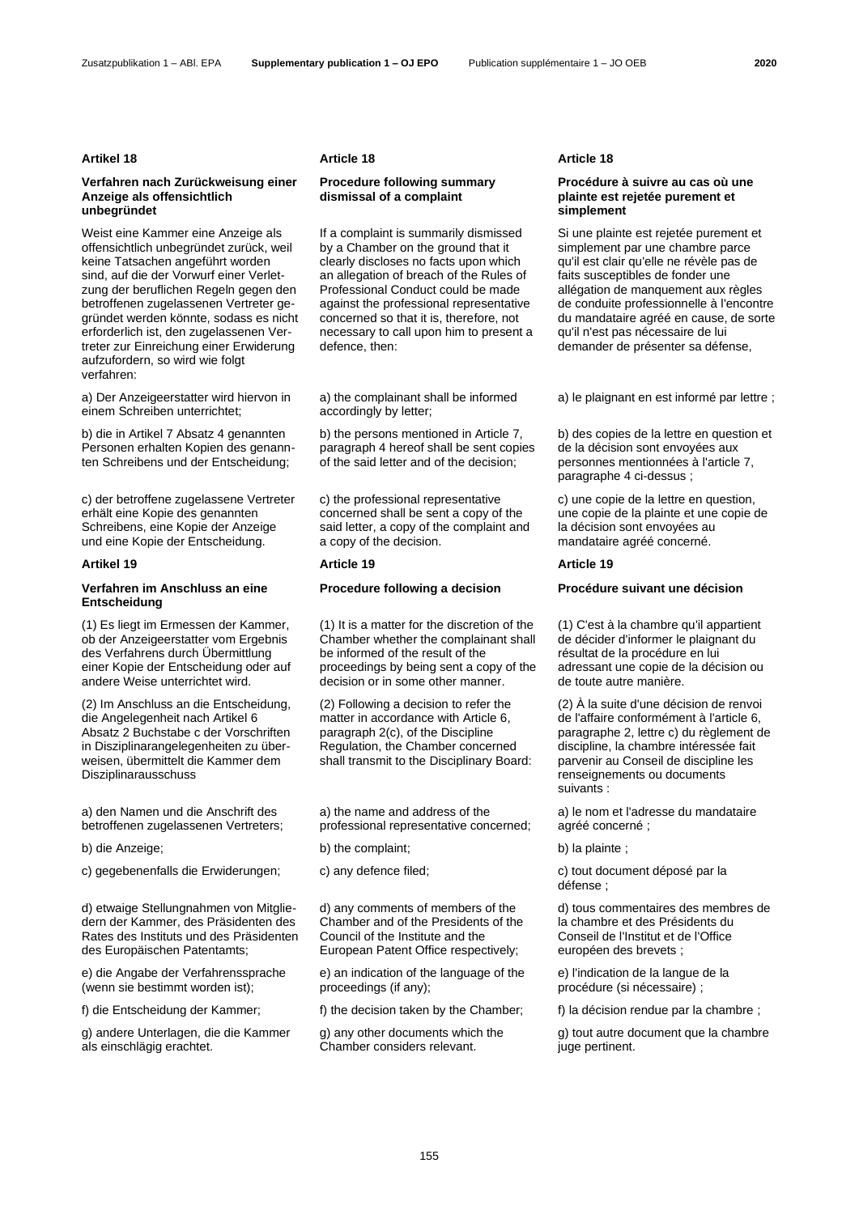### **Artikel 18 Article 18 Article 18**

### **Verfahren nach Zurückweisung einer Anzeige als offensichtlich unbegründet**

Weist eine Kammer eine Anzeige als offensichtlich unbegründet zurück, weil keine Tatsachen angeführt worden sind, auf die der Vorwurf einer Verletzung der beruflichen Regeln gegen den betroffenen zugelassenen Vertreter gegründet werden könnte, sodass es nicht erforderlich ist, den zugelassenen Vertreter zur Einreichung einer Erwiderung aufzufordern, so wird wie folgt verfahren:

a) Der Anzeigeerstatter wird hiervon in einem Schreiben unterrichtet;

b) die in Artikel 7 Absatz 4 genannten Personen erhalten Kopien des genannten Schreibens und der Entscheidung;

c) der betroffene zugelassene Vertreter erhält eine Kopie des genannten Schreibens, eine Kopie der Anzeige und eine Kopie der Entscheidung.

### **Artikel 19 Article 19 Article 19**

## **Verfahren im Anschluss an eine Entscheidung**

(1) Es liegt im Ermessen der Kammer, ob der Anzeigeerstatter vom Ergebnis des Verfahrens durch Übermittlung einer Kopie der Entscheidung oder auf andere Weise unterrichtet wird.

(2) Im Anschluss an die Entscheidung, die Angelegenheit nach Artikel 6 Absatz 2 Buchstabe c der Vorschriften in Disziplinarangelegenheiten zu überweisen, übermittelt die Kammer dem Disziplinarausschuss

a) den Namen und die Anschrift des betroffenen zugelassenen Vertreters;

c) gegebenenfalls die Erwiderungen; c) any defence filed; c) tout document déposé par la

d) etwaige Stellungnahmen von Mitgliedern der Kammer, des Präsidenten des Rates des Instituts und des Präsidenten des Europäischen Patentamts;

e) die Angabe der Verfahrenssprache (wenn sie bestimmt worden ist);

g) andere Unterlagen, die die Kammer als einschlägig erachtet.

## **Procedure following summary dismissal of a complaint**

If a complaint is summarily dismissed by a Chamber on the ground that it clearly discloses no facts upon which an allegation of breach of the Rules of Professional Conduct could be made against the professional representative concerned so that it is, therefore, not necessary to call upon him to present a defence, then:

a) the complainant shall be informed accordingly by letter;

b) the persons mentioned in Article 7, paragraph 4 hereof shall be sent copies of the said letter and of the decision;

c) the professional representative concerned shall be sent a copy of the said letter, a copy of the complaint and a copy of the decision.

(1) It is a matter for the discretion of the Chamber whether the complainant shall be informed of the result of the proceedings by being sent a copy of the decision or in some other manner.

(2) Following a decision to refer the matter in accordance with Article 6, paragraph 2(c), of the Discipline Regulation, the Chamber concerned shall transmit to the Disciplinary Board:

a) the name and address of the professional representative concerned;

b) die Anzeige; b) the complaint; b) la plainte ; b) la plainte ; b) la plainte ;

d) any comments of members of the Chamber and of the Presidents of the Council of the Institute and the European Patent Office respectively;

e) an indication of the language of the proceedings (if any);

f) die Entscheidung der Kammer; f) the decision taken by the Chamber; f) la décision rendue par la chambre ;

g) any other documents which the Chamber considers relevant.

### **Procédure à suivre au cas où une plainte est rejetée purement et simplement**

Si une plainte est rejetée purement et simplement par une chambre parce qu'il est clair qu'elle ne révèle pas de faits susceptibles de fonder une allégation de manquement aux règles de conduite professionnelle à l'encontre du mandataire agréé en cause, de sorte qu'il n'est pas nécessaire de lui demander de présenter sa défense,

a) le plaignant en est informé par lettre ;

b) des copies de la lettre en question et de la décision sont envoyées aux personnes mentionnées à l'article 7, paragraphe 4 ci-dessus ;

c) une copie de la lettre en question, une copie de la plainte et une copie de la décision sont envoyées au mandataire agréé concerné.

## **Procedure following a decision Procédure suivant une décision**

(1) C'est à la chambre qu'il appartient de décider d'informer le plaignant du résultat de la procédure en lui adressant une copie de la décision ou de toute autre manière.

(2) À la suite d'une décision de renvoi de l'affaire conformément à l'article 6, paragraphe 2, lettre c) du règlement de discipline, la chambre intéressée fait parvenir au Conseil de discipline les renseignements ou documents suivants :

a) le nom et l'adresse du mandataire agréé concerné ;

défense ;

d) tous commentaires des membres de la chambre et des Présidents du Conseil de l'Institut et de l'Office européen des brevets ;

e) l'indication de la langue de la procédure (si nécessaire) ;

g) tout autre document que la chambre juge pertinent.